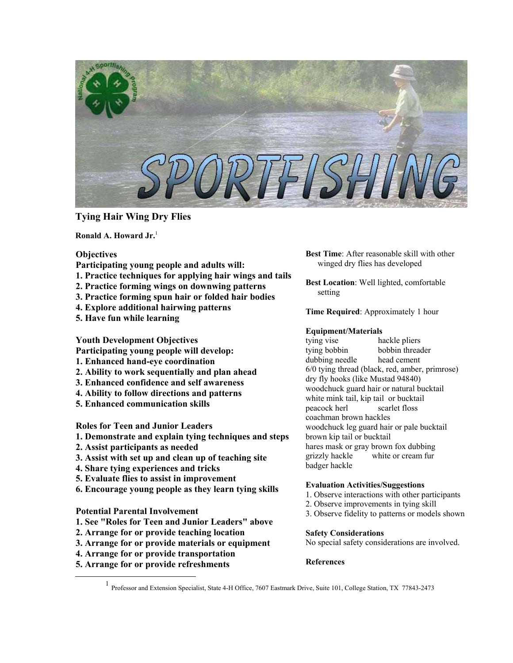

# **Tying Hair Wing Dry Flies**

**Ronald A. Howard Jr.** [1](#page-0-0)

## **Objectives**

- **Participating young people and adults will:**
- **1. Practice techniques for applying hair wings and tails**
- **2. Practice forming wings on downwing patterns**
- **3. Practice forming spun hair or folded hair bodies**
- **4. Explore additional hairwing patterns**
- **5. Have fun while learning**

**Youth Development Objectives** 

- **Participating young people will develop:**
- **1. Enhanced hand-eye coordination**
- **2. Ability to work sequentially and plan ahead**
- **3. Enhanced confidence and self awareness**
- **4. Ability to follow directions and patterns**
- **5. Enhanced communication skills**

**Roles for Teen and Junior Leaders** 

- **1. Demonstrate and explain tying techniques and steps**
- **2. Assist participants as needed**
- **3. Assist with set up and clean up of teaching site**
- **4. Share tying experiences and tricks**
- **5. Evaluate flies to assist in improvement**
- **6. Encourage young people as they learn tying skills**

## **Potential Parental Involvement**

- **1. See "Roles for Teen and Junior Leaders" above**
- **2. Arrange for or provide teaching location**
- **3. Arrange for or provide materials or equipment**
- **4. Arrange for or provide transportation**
- **5. Arrange for or provide refreshments**

**Best Time**: After reasonable skill with other winged dry flies has developed

**Best Location**: Well lighted, comfortable setting

**Time Required**: Approximately 1 hour

## **Equipment/Materials**

tying vise hackle pliers tying bobbin bobbin threader dubbing needle head cement 6/0 tying thread (black, red, amber, primrose) dry fly hooks (like Mustad 94840) woodchuck guard hair or natural bucktail white mink tail, kip tail or bucktail peacock herl scarlet floss coachman brown hackles woodchuck leg guard hair or pale bucktail brown kip tail or bucktail hares mask or gray brown fox dubbing grizzly hackle white or cream fur badger hackle

## **Evaluation Activities/Suggestions**

- 1. Observe interactions with other participants
- 2. Observe improvements in tying skill
- 3. Observe fidelity to patterns or models shown

### **Safety Considerations**

No special safety considerations are involved.

# **References**

<span id="page-0-0"></span><sup>&</sup>lt;u>1</u> <sup>1</sup> Professor and Extension Specialist, State 4-H Office, 7607 Eastmark Drive, Suite 101, College Station, TX 77843-2473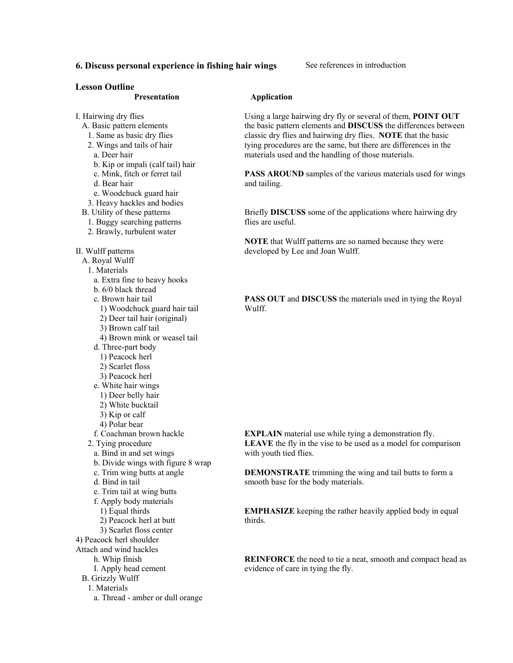# **6. Discuss personal experience in fishing hair wings** See references in introduction

#### **Lesson Outline**

#### **Presentation**

#### **Application**

Using a large hairwing dry fly or several of them, **POINT OUT** the basic pattern elements and **DISCUSS** the differences between classic dry flies and hairwing dry flies. **NOTE** that the basic tying procedures are the same, but there are differences in the materials used and the handling of those materials.

**PASS AROUND** samples of the various materials used for wings and tailing.

Briefly **DISCUSS** some of the applications where hairwing dry flies are useful.

**NOTE** that Wulff patterns are so named because they were developed by Lee and Joan Wulff.

**PASS OUT** and **DISCUSS** the materials used in tying the Royal Wulff.

**EXPLAIN** material use while tying a demonstration fly. **LEAVE** the fly in the vise to be used as a model for comparison with youth tied flies.

**DEMONSTRATE** trimming the wing and tail butts to form a smooth base for the body materials.

**EMPHASIZE** keeping the rather heavily applied body in equal thirds.

**REINFORCE** the need to tie a neat, smooth and compact head as evidence of care in tying the fly.

I. Hairwing dry flies

- A. Basic pattern elements
	- 1. Same as basic dry flies 2. Wings and tails of hair
	- a. Deer hair
	-
	- b. Kip or impali (calf tail) hair c. Mink, fitch or ferret tail
	- d. Bear hair
	-
	- e. Woodchuck guard hair
- 3. Heavy hackles and bodies
- B. Utility of these patterns
	- 1. Buggy searching patterns
	- 2. Brawly, turbulent water
- II. Wulff patterns
- A. Royal Wulff
- 1. Materials
	- a. Extra fine to heavy hooks
	- b. 6/0 black thread
	- c. Brown hair tail
		- 1) Woodchuck guard hair tail
		- 2) Deer tail hair (original)
		- 3) Brown calf tail
		- 4) Brown mink or weasel tail
	- d. Three-part body
		- 1) Peacock herl
		- 2) Scarlet floss
		- 3) Peacock herl
	- e. White hair wings
		- 1) Deer belly hair
		- 2) White bucktail
		- 3) Kip or calf
		- 4) Polar bear
	- f. Coachman brown hackle
- 2. Tying procedure
	- a. Bind in and set wings
	- b. Divide wings with figure 8 wrap
	- c. Trim wing butts at angle
	- d. Bind in tail
- e. Trim tail at wing butts
- f. Apply body materials
	- 1) Equal thirds
- 2) Peacock herl at butt
- 3) Scarlet floss center
- 4) Peacock herl shoulder
- Attach and wind hackles
	- h. Whip finish
	- I. Apply head cement B. Grizzly Wulff
	-
	- 1. Materials
		- a. Thread amber or dull orange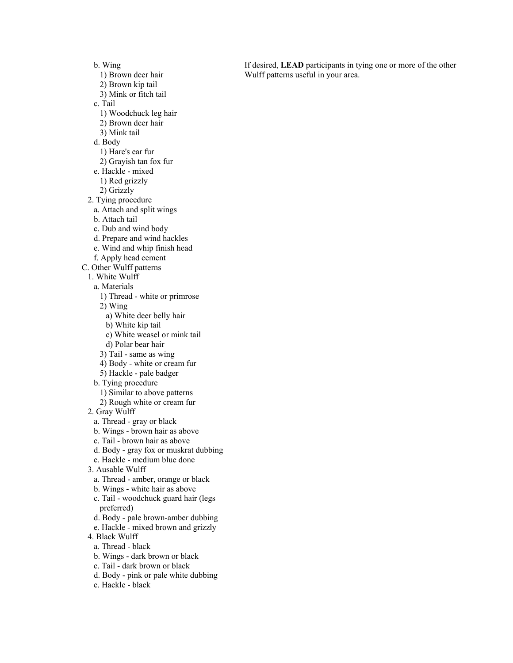b. Wing

- 1) Brown deer hair
- 2) Brown kip tail
- 3) Mink or fitch tail

c. Tail

- 1) Woodchuck leg hair
- 2) Brown deer hair
- 3) Mink tail

d. Body

- 1) Hare's ear fur
- 2) Grayish tan fox fur
- e. Hackle mixed
	- 1) Red grizzly
- 2) Grizzly
- 2. Tying procedure
- a. Attach and split wings
- b. Attach tail
- c. Dub and wind body
- d. Prepare and wind hackles
- e. Wind and whip finish head
- f. Apply head cement
- C. Other Wulff patterns
	- 1. White Wulff
	- a. Materials
		- 1) Thread white or primrose
		- 2) Wing
			- a) White deer belly hair
			- b) White kip tail
			- c) White weasel or mink tail
			- d) Polar bear hair
		- 3) Tail same as wing
		- 4) Body white or cream fur
		- 5) Hackle pale badger
	- b. Tying procedure
		- 1) Similar to above patterns
		- 2) Rough white or cream fur
	- 2. Gray Wulff
		- a. Thread gray or black
	- b. Wings brown hair as above
	- c. Tail brown hair as above
	- d. Body gray fox or muskrat dubbing
	- e. Hackle medium blue done
	- 3. Ausable Wulff
		- a. Thread amber, orange or black
		- b. Wings white hair as above
	- c. Tail woodchuck guard hair (legs preferred)
	- d. Body pale brown-amber dubbing
	- e. Hackle mixed brown and grizzly
	- 4. Black Wulff
		- a. Thread black
	- b. Wings dark brown or black
	- c. Tail dark brown or black
	- d. Body pink or pale white dubbing
	- e. Hackle black

If desired, **LEAD** participants in tying one or more of the other Wulff patterns useful in your area.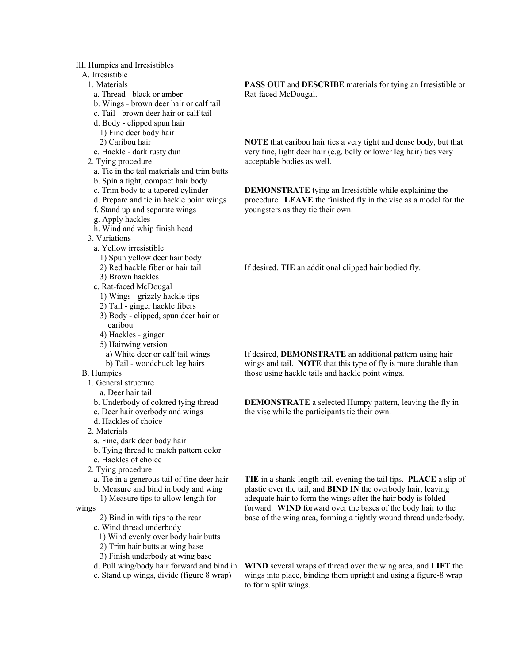### III. Humpies and Irresistibles

# A. Irresistible

1. Materials

- a. Thread black or amber
- b. Wings brown deer hair or calf tail
- c. Tail brown deer hair or calf tail
- d. Body clipped spun hair
- 1) Fine deer body hair
- 2) Caribou hair
- e. Hackle dark rusty dun
- 2. Tying procedure
	- a. Tie in the tail materials and trim butts
	- b. Spin a tight, compact hair body
	- c. Trim body to a tapered cylinder
	- d. Prepare and tie in hackle point wings
	- f. Stand up and separate wings
- g. Apply hackles
- h. Wind and whip finish head
- 3. Variations
- a. Yellow irresistible
	- 1) Spun yellow deer hair body
	- 2) Red hackle fiber or hair tail
	- 3) Brown hackles
- c. Rat-faced McDougal
	- 1) Wings grizzly hackle tips
	- 2) Tail ginger hackle fibers
	- 3) Body clipped, spun deer hair or caribou
	- 4) Hackles ginger
	- 5) Hairwing version
	- a) White deer or calf tail wings b) Tail - woodchuck leg hairs
- B. Humpies
	- 1. General structure
		- a. Deer hair tail
	- b. Underbody of colored tying thread
	- c. Deer hair overbody and wings
	- d. Hackles of choice
	- 2. Materials
	- a. Fine, dark deer body hair
	- b. Tying thread to match pattern color
	- c. Hackles of choice
	- 2. Tying procedure
		- a. Tie in a generous tail of fine deer hair
		- b. Measure and bind in body and wing
		- 1) Measure tips to allow length for
- wings
- 2) Bind in with tips to the rear
- c. Wind thread underbody
	- 1) Wind evenly over body hair butts
	- 2) Trim hair butts at wing base
	- 3) Finish underbody at wing base
- d. Pull wing/body hair forward and bind in
- e. Stand up wings, divide (figure 8 wrap)

**PASS OUT** and **DESCRIBE** materials for tying an Irresistible or Rat-faced McDougal.

**NOTE** that caribou hair ties a very tight and dense body, but that very fine, light deer hair (e.g. belly or lower leg hair) ties very acceptable bodies as well.

**DEMONSTRATE** tying an Irresistible while explaining the procedure. **LEAVE** the finished fly in the vise as a model for the youngsters as they tie their own.

If desired, **TIE** an additional clipped hair bodied fly.

If desired, **DEMONSTRATE** an additional pattern using hair wings and tail. **NOTE** that this type of fly is more durable than those using hackle tails and hackle point wings.

**DEMONSTRATE** a selected Humpy pattern, leaving the fly in the vise while the participants tie their own.

**TIE** in a shank-length tail, evening the tail tips. **PLACE** a slip of plastic over the tail, and **BIND IN** the overbody hair, leaving adequate hair to form the wings after the hair body is folded forward. **WIND** forward over the bases of the body hair to the base of the wing area, forming a tightly wound thread underbody.

**WIND** several wraps of thread over the wing area, and **LIFT** the wings into place, binding them upright and using a figure-8 wrap to form split wings.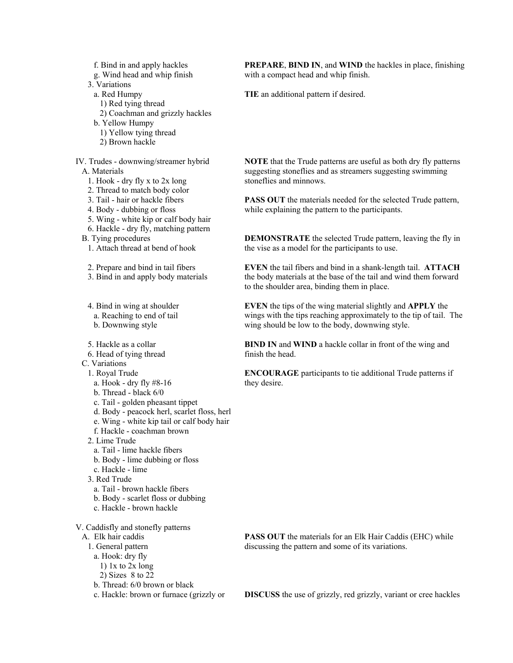f. Bind in and apply hackles

g. Wind head and whip finish

3. Variations

- a. Red Humpy
- 1) Red tying thread
- 2) Coachman and grizzly hackles
- b. Yellow Humpy
- 1) Yellow tying thread
- 2) Brown hackle

IV. Trudes - downwing/streamer hybrid A. Materials

- 1. Hook dry fly x to 2x long
- 2. Thread to match body color
- 3. Tail hair or hackle fibers
- 4. Body dubbing or floss
- 5. Wing white kip or calf body hair
- 6. Hackle dry fly, matching pattern

B. Tying procedures

1. Attach thread at bend of hook

2. Prepare and bind in tail fibers

3. Bind in and apply body materials

4. Bind in wing at shoulder a. Reaching to end of tail b. Downwing style

5. Hackle as a collar

6. Head of tying thread

C. Variations

- 1. Royal Trude
- a. Hook dry fly #8-16
- b. Thread black 6/0
- c. Tail golden pheasant tippet
- d. Body peacock herl, scarlet floss, herl
- e. Wing white kip tail or calf body hair
- f. Hackle coachman brown
- 2. Lime Trude
	- a. Tail lime hackle fibers
	- b. Body lime dubbing or floss
- c. Hackle lime
- 3. Red Trude
- a. Tail brown hackle fibers
- b. Body scarlet floss or dubbing
- c. Hackle brown hackle

V. Caddisfly and stonefly patterns

A. Elk hair caddis

- 1. General pattern
- a. Hook: dry fly
	- 1) 1x to 2x long
	- 2) Sizes 8 to 22
- b. Thread: 6/0 brown or black

c. Hackle: brown or furnace (grizzly or

**PREPARE**, **BIND IN**, and **WIND** the hackles in place, finishing with a compact head and whip finish.

**TIE** an additional pattern if desired.

**NOTE** that the Trude patterns are useful as both dry fly patterns suggesting stoneflies and as streamers suggesting swimming stoneflies and minnows.

**PASS OUT** the materials needed for the selected Trude pattern, while explaining the pattern to the participants.

**DEMONSTRATE** the selected Trude pattern, leaving the fly in the vise as a model for the participants to use.

**EVEN** the tail fibers and bind in a shank-length tail. **ATTACH** the body materials at the base of the tail and wind them forward to the shoulder area, binding them in place.

**EVEN** the tips of the wing material slightly and **APPLY** the wings with the tips reaching approximately to the tip of tail. The wing should be low to the body, downwing style.

**BIND IN** and **WIND** a hackle collar in front of the wing and finish the head.

**ENCOURAGE** participants to tie additional Trude patterns if they desire.

**PASS OUT** the materials for an Elk Hair Caddis (EHC) while discussing the pattern and some of its variations.

**DISCUSS** the use of grizzly, red grizzly, variant or cree hackles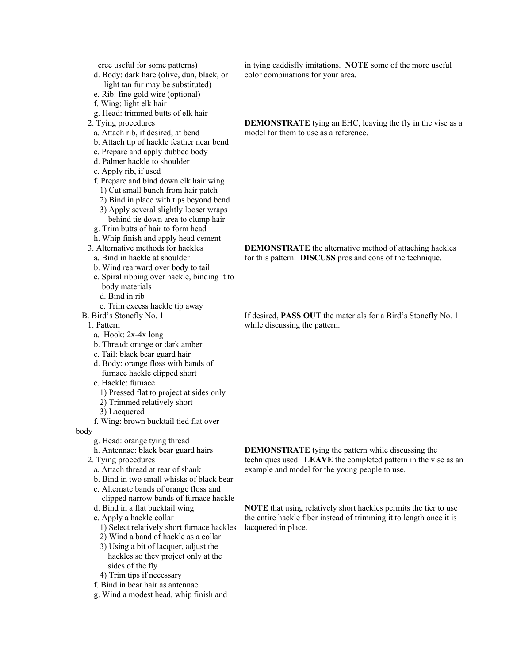cree useful for some patterns)

- d. Body: dark hare (olive, dun, black, or light tan fur may be substituted)
- e. Rib: fine gold wire (optional)
- f. Wing: light elk hair
- g. Head: trimmed butts of elk hair
- 2. Tying procedures
- a. Attach rib, if desired, at bend
- b. Attach tip of hackle feather near bend
- c. Prepare and apply dubbed body
- d. Palmer hackle to shoulder
- e. Apply rib, if used
- f. Prepare and bind down elk hair wing
	- 1) Cut small bunch from hair patch
	- 2) Bind in place with tips beyond bend
	- 3) Apply several slightly looser wraps behind tie down area to clump hair
- g. Trim butts of hair to form head
- h. Whip finish and apply head cement
- 3. Alternative methods for hackles
- a. Bind in hackle at shoulder
- b. Wind rearward over body to tail
- c. Spiral ribbing over hackle, binding it to body materials
	- d. Bind in rib
- e. Trim excess hackle tip away
- B. Bird's Stonefly No. 1

1. Pattern

- a. Hook: 2x-4x long
- b. Thread: orange or dark amber
- c. Tail: black bear guard hair
- d. Body: orange floss with bands of furnace hackle clipped short
- e. Hackle: furnace
	- 1) Pressed flat to project at sides only
	- 2) Trimmed relatively short
- 3) Lacquered
- f. Wing: brown bucktail tied flat over

body

- g. Head: orange tying thread
- h. Antennae: black bear guard hairs
- 2. Tying procedures
	- a. Attach thread at rear of shank
	- b. Bind in two small whisks of black bear
	- c. Alternate bands of orange floss and clipped narrow bands of furnace hackle
	- d. Bind in a flat bucktail wing
	- e. Apply a hackle collar
		- 1) Select relatively short furnace hackles
		- 2) Wind a band of hackle as a collar
		- 3) Using a bit of lacquer, adjust the hackles so they project only at the sides of the fly
		-
	- 4) Trim tips if necessary
	- f. Bind in bear hair as antennae
	- g. Wind a modest head, whip finish and

in tying caddisfly imitations. **NOTE** some of the more useful color combinations for your area.

**DEMONSTRATE** tying an EHC, leaving the fly in the vise as a model for them to use as a reference.

**DEMONSTRATE** the alternative method of attaching hackles for this pattern. **DISCUSS** pros and cons of the technique.

If desired, **PASS OUT** the materials for a Bird's Stonefly No. 1 while discussing the pattern.

**DEMONSTRATE** tying the pattern while discussing the techniques used. **LEAVE** the completed pattern in the vise as an example and model for the young people to use.

**NOTE** that using relatively short hackles permits the tier to use the entire hackle fiber instead of trimming it to length once it is lacquered in place.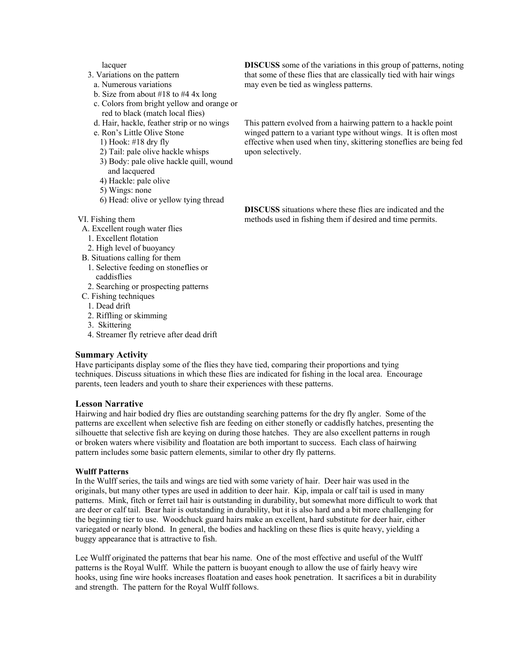lacquer

- 3. Variations on the pattern
- a. Numerous variations
- b. Size from about  $\#18$  to  $\#4$  4x long
- c. Colors from bright yellow and orange or red to black (match local flies)
- d. Hair, hackle, feather strip or no wings
- e. Ron's Little Olive Stone
	- 1) Hook: #18 dry fly
	- 2) Tail: pale olive hackle whisps
	- 3) Body: pale olive hackle quill, wound and lacquered
	- 4) Hackle: pale olive
	- 5) Wings: none
	- 6) Head: olive or yellow tying thread
- VI. Fishing them
- A. Excellent rough water flies
- 1. Excellent flotation
- 2. High level of buoyancy
- B. Situations calling for them
	- 1. Selective feeding on stoneflies or caddisflies
	- 2. Searching or prospecting patterns
- C. Fishing techniques
	- 1. Dead drift
	- 2. Riffling or skimming
	- 3. Skittering
	- 4. Streamer fly retrieve after dead drift

### **Summary Activity**

Have participants display some of the flies they have tied, comparing their proportions and tying techniques. Discuss situations in which these flies are indicated for fishing in the local area. Encourage parents, teen leaders and youth to share their experiences with these patterns.

#### **Lesson Narrative**

Hairwing and hair bodied dry flies are outstanding searching patterns for the dry fly angler. Some of the patterns are excellent when selective fish are feeding on either stonefly or caddisfly hatches, presenting the silhouette that selective fish are keying on during those hatches. They are also excellent patterns in rough or broken waters where visibility and floatation are both important to success. Each class of hairwing pattern includes some basic pattern elements, similar to other dry fly patterns.

#### **Wulff Patterns**

In the Wulff series, the tails and wings are tied with some variety of hair. Deer hair was used in the originals, but many other types are used in addition to deer hair. Kip, impala or calf tail is used in many patterns. Mink, fitch or ferret tail hair is outstanding in durability, but somewhat more difficult to work that are deer or calf tail. Bear hair is outstanding in durability, but it is also hard and a bit more challenging for the beginning tier to use. Woodchuck guard hairs make an excellent, hard substitute for deer hair, either variegated or nearly blond. In general, the bodies and hackling on these flies is quite heavy, yielding a buggy appearance that is attractive to fish.

Lee Wulff originated the patterns that bear his name. One of the most effective and useful of the Wulff patterns is the Royal Wulff. While the pattern is buoyant enough to allow the use of fairly heavy wire hooks, using fine wire hooks increases floatation and eases hook penetration. It sacrifices a bit in durability and strength. The pattern for the Royal Wulff follows.

**DISCUSS** some of the variations in this group of patterns, noting that some of these flies that are classically tied with hair wings may even be tied as wingless patterns.

This pattern evolved from a hairwing pattern to a hackle point winged pattern to a variant type without wings. It is often most effective when used when tiny, skittering stoneflies are being fed upon selectively.

**DISCUSS** situations where these flies are indicated and the methods used in fishing them if desired and time permits.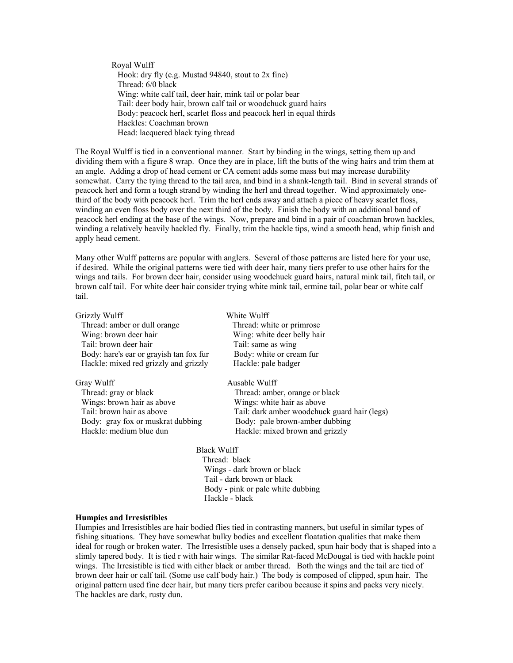Royal Wulff Hook: dry fly (e.g. Mustad 94840, stout to 2x fine) Thread: 6/0 black Wing: white calf tail, deer hair, mink tail or polar bear Tail: deer body hair, brown calf tail or woodchuck guard hairs Body: peacock herl, scarlet floss and peacock herl in equal thirds Hackles: Coachman brown Head: lacquered black tying thread

The Royal Wulff is tied in a conventional manner. Start by binding in the wings, setting them up and dividing them with a figure 8 wrap. Once they are in place, lift the butts of the wing hairs and trim them at an angle. Adding a drop of head cement or CA cement adds some mass but may increase durability somewhat. Carry the tying thread to the tail area, and bind in a shank-length tail. Bind in several strands of peacock herl and form a tough strand by winding the herl and thread together. Wind approximately onethird of the body with peacock herl. Trim the herl ends away and attach a piece of heavy scarlet floss, winding an even floss body over the next third of the body. Finish the body with an additional band of peacock herl ending at the base of the wings. Now, prepare and bind in a pair of coachman brown hackles, winding a relatively heavily hackled fly. Finally, trim the hackle tips, wind a smooth head, whip finish and apply head cement.

Many other Wulff patterns are popular with anglers. Several of those patterns are listed here for your use, if desired. While the original patterns were tied with deer hair, many tiers prefer to use other hairs for the wings and tails. For brown deer hair, consider using woodchuck guard hairs, natural mink tail, fitch tail, or brown calf tail. For white deer hair consider trying white mink tail, ermine tail, polar bear or white calf tail.

| Grizzly Wulff                           | White Wulff                                  |
|-----------------------------------------|----------------------------------------------|
| Thread: amber or dull orange            | Thread: white or primrose                    |
| Wing: brown deer hair                   | Wing: white deer belly hair                  |
| Tail: brown deer hair                   | Tail: same as wing                           |
| Body: hare's ear or grayish tan fox fur | Body: white or cream fur                     |
| Hackle: mixed red grizzly and grizzly   | Hackle: pale badger                          |
| Gray Wulff                              | Ausable Wulff                                |
| Thread: gray or black                   | Thread: amber, orange or black               |
| Wings: brown hair as above              | Wings: white hair as above                   |
| Tail: brown hair as above               | Tail: dark amber woodchuck guard hair (legs) |
| Body: gray fox or muskrat dubbing       | Body: pale brown-amber dubbing               |
| Hackle: medium blue dun                 | Hackle: mixed brown and grizzly              |
| <b>Black Wulff</b>                      |                                              |
|                                         | Throad: blook                                |

 Thread: black Wings - dark brown or black Tail - dark brown or black Body - pink or pale white dubbing Hackle - black

#### **Humpies and Irresistibles**

Humpies and Irresistibles are hair bodied flies tied in contrasting manners, but useful in similar types of fishing situations. They have somewhat bulky bodies and excellent floatation qualities that make them ideal for rough or broken water. The Irresistible uses a densely packed, spun hair body that is shaped into a slimly tapered body. It is tied r with hair wings. The similar Rat-faced McDougal is tied with hackle point wings. The Irresistible is tied with either black or amber thread. Both the wings and the tail are tied of brown deer hair or calf tail. (Some use calf body hair.) The body is composed of clipped, spun hair. The original pattern used fine deer hair, but many tiers prefer caribou because it spins and packs very nicely. The hackles are dark, rusty dun.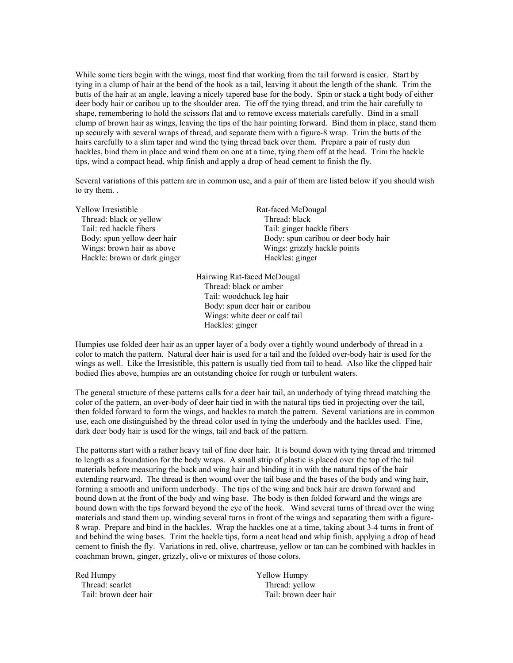While some tiers begin with the wings, most find that working from the tail forward is easier. Start by tying in a clump of hair at the bend of the hook as a tail, leaving it about the length of the shank. Trim the butts of the hair at an angle, leaving a nicely tapered base for the body. Spin or stack a tight body of either deer body hair or caribou up to the shoulder area. Tie off the tying thread, and trim the hair carefully to shape, remembering to hold the scissors flat and to remove excess materials carefully. Bind in a small clump of brown hair as wings, leaving the tips of the hair pointing forward. Bind them in place, stand them up securely with several wraps of thread, and separate them with a figure-8 wrap. Trim the butts of the hairs carefully to a slim taper and wind the tying thread back over them. Prepare a pair of rusty dun hackles, bind them in place and wind them on one at a time, tying them off at the head. Trim the hackle tips, wind a compact head, whip finish and apply a drop of head cement to finish the fly.

Several variations of this pattern are in common use, and a pair of them are listed below if you should wish to try them. .

Yellow Irresistible Rat-faced McDougal Thread: black or yellow Thread: black Tail: red hackle fibers Tail: ginger hackle fibers Hackle: brown or dark ginger

Body: spun yellow deer hair Body: spun caribou or deer body hair Wings: brown hair as above Wings: grizzly hackle points<br>
Hackle: brown or dark ginger Hackles: ginger

> Hairwing Rat-faced McDougal Thread: black or amber Tail: woodchuck leg hair Body: spun deer hair or caribou Wings: white deer or calf tail Hackles: ginger

Humpies use folded deer hair as an upper layer of a body over a tightly wound underbody of thread in a color to match the pattern. Natural deer hair is used for a tail and the folded over-body hair is used for the wings as well. Like the Irresistible, this pattern is usually tied from tail to head. Also like the clipped hair bodied flies above, humpies are an outstanding choice for rough or turbulent waters.

The general structure of these patterns calls for a deer hair tail, an underbody of tying thread matching the color of the pattern, an over-body of deer hair tied in with the natural tips tied in projecting over the tail, then folded forward to form the wings, and hackles to match the pattern. Several variations are in common use, each one distinguished by the thread color used in tying the underbody and the hackles used. Fine, dark deer body hair is used for the wings, tail and back of the pattern.

The patterns start with a rather heavy tail of fine deer hair. It is bound down with tying thread and trimmed to length as a foundation for the body wraps. A small strip of plastic is placed over the top of the tail materials before measuring the back and wing hair and binding it in with the natural tips of the hair extending rearward. The thread is then wound over the tail base and the bases of the body and wing hair, forming a smooth and uniform underbody. The tips of the wing and back hair are drawn forward and bound down at the front of the body and wing base. The body is then folded forward and the wings are bound down with the tips forward beyond the eye of the hook. Wind several turns of thread over the wing materials and stand them up, winding several turns in front of the wings and separating them with a figure-8 wrap. Prepare and bind in the hackles. Wrap the hackles one at a time, taking about 3-4 turns in front of and behind the wing bases. Trim the hackle tips, form a neat head and whip finish, applying a drop of head cement to finish the fly. Variations in red, olive, chartreuse, yellow or tan can be combined with hackles in coachman brown, ginger, grizzly, olive or mixtures of those colors.

Red Humpy  $\qquad \qquad$  Yellow Humpy Thread: scarlet Thread: yellow

Tail: brown deer hair Tail: brown deer hair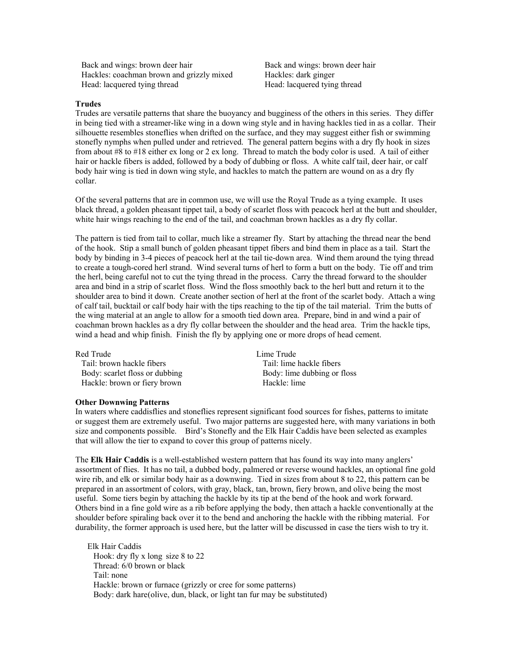Back and wings: brown deer hair Back and wings: brown deer hair Hackles: coachman brown and grizzly mixed Hackles: dark ginger Head: lacquered tying thread Head: lacquered tying thread

#### **Trudes**

Trudes are versatile patterns that share the buoyancy and bugginess of the others in this series. They differ in being tied with a streamer-like wing in a down wing style and in having hackles tied in as a collar. Their silhouette resembles stoneflies when drifted on the surface, and they may suggest either fish or swimming stonefly nymphs when pulled under and retrieved. The general pattern begins with a dry fly hook in sizes from about #8 to #18 either ex long or 2 ex long. Thread to match the body color is used. A tail of either hair or hackle fibers is added, followed by a body of dubbing or floss. A white calf tail, deer hair, or calf body hair wing is tied in down wing style, and hackles to match the pattern are wound on as a dry fly collar.

Of the several patterns that are in common use, we will use the Royal Trude as a tying example. It uses black thread, a golden pheasant tippet tail, a body of scarlet floss with peacock herl at the butt and shoulder, white hair wings reaching to the end of the tail, and coachman brown hackles as a dry fly collar.

The pattern is tied from tail to collar, much like a streamer fly. Start by attaching the thread near the bend of the hook. Stip a small bunch of golden pheasant tippet fibers and bind them in place as a tail. Start the body by binding in 3-4 pieces of peacock herl at the tail tie-down area. Wind them around the tying thread to create a tough-cored herl strand. Wind several turns of herl to form a butt on the body. Tie off and trim the herl, being careful not to cut the tying thread in the process. Carry the thread forward to the shoulder area and bind in a strip of scarlet floss. Wind the floss smoothly back to the herl butt and return it to the shoulder area to bind it down. Create another section of herl at the front of the scarlet body. Attach a wing of calf tail, bucktail or calf body hair with the tips reaching to the tip of the tail material. Trim the butts of the wing material at an angle to allow for a smooth tied down area. Prepare, bind in and wind a pair of coachman brown hackles as a dry fly collar between the shoulder and the head area. Trim the hackle tips, wind a head and whip finish. Finish the fly by applying one or more drops of head cement.

| Lime Trude                  |
|-----------------------------|
| Tail: lime hackle fibers    |
| Body: lime dubbing or floss |
| Hackle: lime                |
|                             |

#### **Other Downwing Patterns**

In waters where caddisflies and stoneflies represent significant food sources for fishes, patterns to imitate or suggest them are extremely useful. Two major patterns are suggested here, with many variations in both size and components possible. Bird's Stonefly and the Elk Hair Caddis have been selected as examples that will allow the tier to expand to cover this group of patterns nicely.

The **Elk Hair Caddis** is a well-established western pattern that has found its way into many anglers' assortment of flies. It has no tail, a dubbed body, palmered or reverse wound hackles, an optional fine gold wire rib, and elk or similar body hair as a downwing. Tied in sizes from about 8 to 22, this pattern can be prepared in an assortment of colors, with gray, black, tan, brown, fiery brown, and olive being the most useful. Some tiers begin by attaching the hackle by its tip at the bend of the hook and work forward. Others bind in a fine gold wire as a rib before applying the body, then attach a hackle conventionally at the shoulder before spiraling back over it to the bend and anchoring the hackle with the ribbing material. For durability, the former approach is used here, but the latter will be discussed in case the tiers wish to try it.

Elk Hair Caddis Hook: dry fly x long size 8 to 22 Thread: 6/0 brown or black Tail: none Hackle: brown or furnace (grizzly or cree for some patterns) Body: dark hare (olive, dun, black, or light tan fur may be substituted)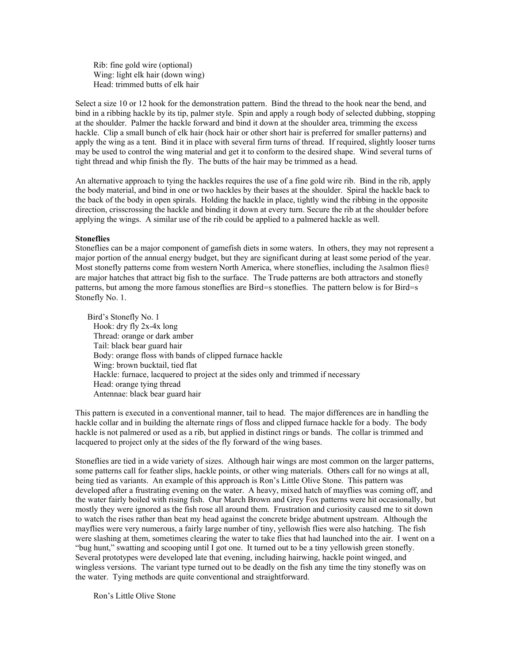Rib: fine gold wire (optional) Wing: light elk hair (down wing) Head: trimmed butts of elk hair

Select a size 10 or 12 hook for the demonstration pattern. Bind the thread to the hook near the bend, and bind in a ribbing hackle by its tip, palmer style. Spin and apply a rough body of selected dubbing, stopping at the shoulder. Palmer the hackle forward and bind it down at the shoulder area, trimming the excess hackle. Clip a small bunch of elk hair (hock hair or other short hair is preferred for smaller patterns) and apply the wing as a tent. Bind it in place with several firm turns of thread. If required, slightly looser turns may be used to control the wing material and get it to conform to the desired shape. Wind several turns of tight thread and whip finish the fly. The butts of the hair may be trimmed as a head.

An alternative approach to tying the hackles requires the use of a fine gold wire rib. Bind in the rib, apply the body material, and bind in one or two hackles by their bases at the shoulder. Spiral the hackle back to the back of the body in open spirals. Holding the hackle in place, tightly wind the ribbing in the opposite direction, crisscrossing the hackle and binding it down at every turn. Secure the rib at the shoulder before applying the wings. A similar use of the rib could be applied to a palmered hackle as well.

#### **Stoneflies**

Stoneflies can be a major component of gamefish diets in some waters. In others, they may not represent a major portion of the annual energy budget, but they are significant during at least some period of the year. Most stonefly patterns come from western North America, where stoneflies, including the Asalmon flies@ are major hatches that attract big fish to the surface. The Trude patterns are both attractors and stonefly patterns, but among the more famous stoneflies are Bird=s stoneflies. The pattern below is for Bird=s Stonefly No. 1.

Bird's Stonefly No. 1 Hook: dry fly 2x-4x long Thread: orange or dark amber Tail: black bear guard hair Body: orange floss with bands of clipped furnace hackle Wing: brown bucktail, tied flat Hackle: furnace, lacquered to project at the sides only and trimmed if necessary Head: orange tying thread Antennae: black bear guard hair

This pattern is executed in a conventional manner, tail to head. The major differences are in handling the hackle collar and in building the alternate rings of floss and clipped furnace hackle for a body. The body hackle is not palmered or used as a rib, but applied in distinct rings or bands. The collar is trimmed and lacquered to project only at the sides of the fly forward of the wing bases.

Stoneflies are tied in a wide variety of sizes. Although hair wings are most common on the larger patterns, some patterns call for feather slips, hackle points, or other wing materials. Others call for no wings at all, being tied as variants. An example of this approach is Ron's Little Olive Stone. This pattern was developed after a frustrating evening on the water. A heavy, mixed hatch of mayflies was coming off, and the water fairly boiled with rising fish. Our March Brown and Grey Fox patterns were hit occasionally, but mostly they were ignored as the fish rose all around them. Frustration and curiosity caused me to sit down to watch the rises rather than beat my head against the concrete bridge abutment upstream. Although the mayflies were very numerous, a fairly large number of tiny, yellowish flies were also hatching. The fish were slashing at them, sometimes clearing the water to take flies that had launched into the air. I went on a "bug hunt," swatting and scooping until I got one. It turned out to be a tiny yellowish green stonefly. Several prototypes were developed late that evening, including hairwing, hackle point winged, and wingless versions. The variant type turned out to be deadly on the fish any time the tiny stonefly was on the water. Tying methods are quite conventional and straightforward.

Ron's Little Olive Stone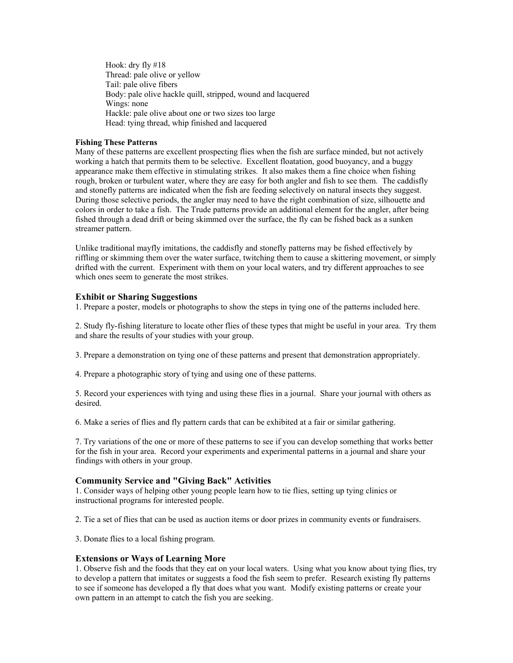Hook: dry fly #18 Thread: pale olive or yellow Tail: pale olive fibers Body: pale olive hackle quill, stripped, wound and lacquered Wings: none Hackle: pale olive about one or two sizes too large Head: tying thread, whip finished and lacquered

### **Fishing These Patterns**

Many of these patterns are excellent prospecting flies when the fish are surface minded, but not actively working a hatch that permits them to be selective. Excellent floatation, good buoyancy, and a buggy appearance make them effective in stimulating strikes. It also makes them a fine choice when fishing rough, broken or turbulent water, where they are easy for both angler and fish to see them. The caddisfly and stonefly patterns are indicated when the fish are feeding selectively on natural insects they suggest. During those selective periods, the angler may need to have the right combination of size, silhouette and colors in order to take a fish. The Trude patterns provide an additional element for the angler, after being fished through a dead drift or being skimmed over the surface, the fly can be fished back as a sunken streamer pattern.

Unlike traditional mayfly imitations, the caddisfly and stonefly patterns may be fished effectively by riffling or skimming them over the water surface, twitching them to cause a skittering movement, or simply drifted with the current. Experiment with them on your local waters, and try different approaches to see which ones seem to generate the most strikes.

### **Exhibit or Sharing Suggestions**

1. Prepare a poster, models or photographs to show the steps in tying one of the patterns included here.

2. Study fly-fishing literature to locate other flies of these types that might be useful in your area. Try them and share the results of your studies with your group.

3. Prepare a demonstration on tying one of these patterns and present that demonstration appropriately.

4. Prepare a photographic story of tying and using one of these patterns.

5. Record your experiences with tying and using these flies in a journal. Share your journal with others as desired.

6. Make a series of flies and fly pattern cards that can be exhibited at a fair or similar gathering.

7. Try variations of the one or more of these patterns to see if you can develop something that works better for the fish in your area. Record your experiments and experimental patterns in a journal and share your findings with others in your group.

### **Community Service and "Giving Back" Activities**

1. Consider ways of helping other young people learn how to tie flies, setting up tying clinics or instructional programs for interested people.

2. Tie a set of flies that can be used as auction items or door prizes in community events or fundraisers.

3. Donate flies to a local fishing program.

### **Extensions or Ways of Learning More**

1. Observe fish and the foods that they eat on your local waters. Using what you know about tying flies, try to develop a pattern that imitates or suggests a food the fish seem to prefer. Research existing fly patterns to see if someone has developed a fly that does what you want. Modify existing patterns or create your own pattern in an attempt to catch the fish you are seeking.